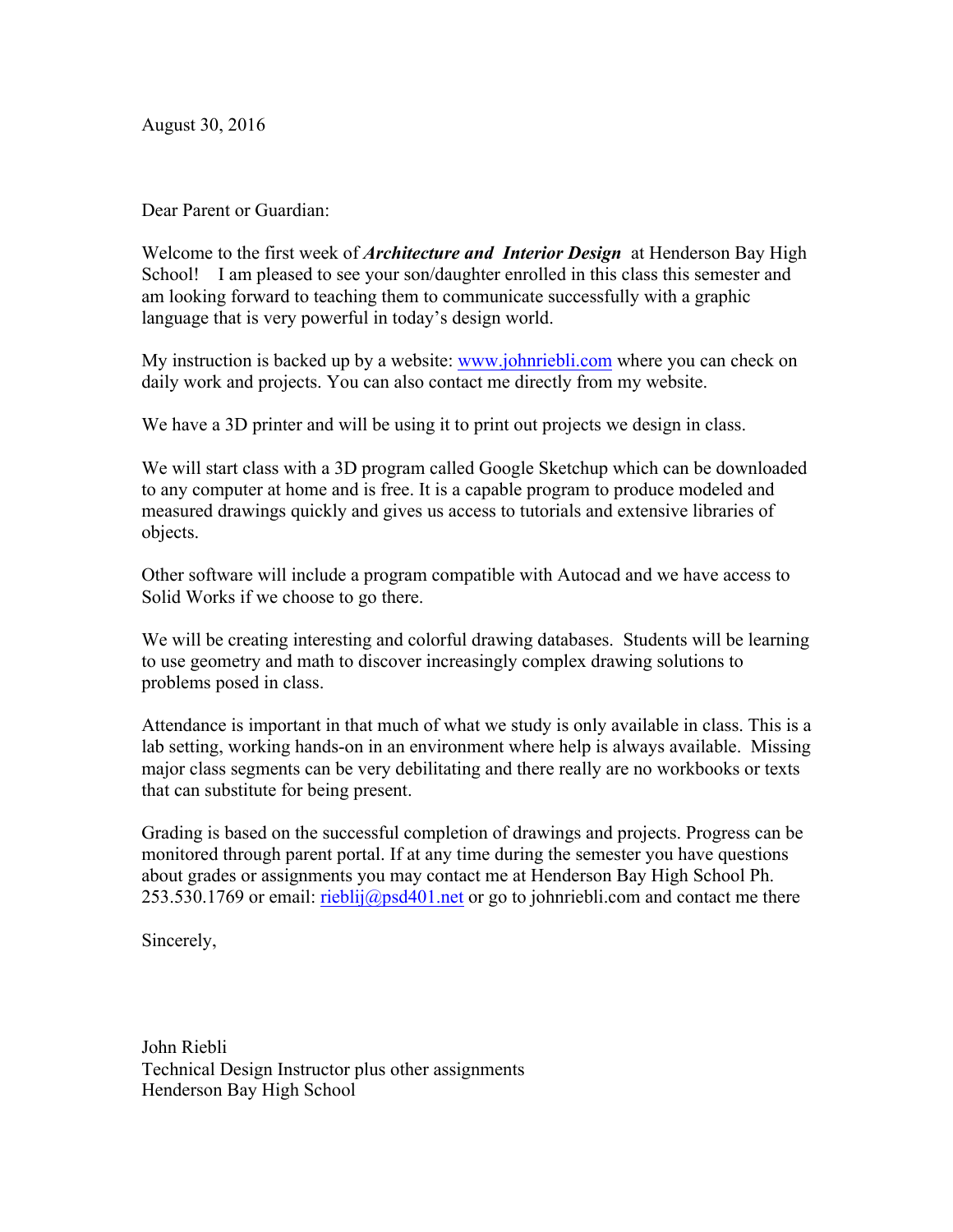August 30, 2016

Dear Parent or Guardian:

Welcome to the first week of *Architecture and Interior Design* at Henderson Bay High School! I am pleased to see your son/daughter enrolled in this class this semester and am looking forward to teaching them to communicate successfully with a graphic language that is very powerful in today's design world.

My instruction is backed up by a website: www.johnriebli.com where you can check on daily work and projects. You can also contact me directly from my website.

We have a 3D printer and will be using it to print out projects we design in class.

We will start class with a 3D program called Google Sketchup which can be downloaded to any computer at home and is free. It is a capable program to produce modeled and measured drawings quickly and gives us access to tutorials and extensive libraries of objects.

Other software will include a program compatible with Autocad and we have access to Solid Works if we choose to go there.

We will be creating interesting and colorful drawing databases. Students will be learning to use geometry and math to discover increasingly complex drawing solutions to problems posed in class.

Attendance is important in that much of what we study is only available in class. This is a lab setting, working hands-on in an environment where help is always available. Missing major class segments can be very debilitating and there really are no workbooks or texts that can substitute for being present.

Grading is based on the successful completion of drawings and projects. Progress can be monitored through parent portal. If at any time during the semester you have questions about grades or assignments you may contact me at Henderson Bay High School Ph. 253.530.1769 or email:  $\frac{right(2)53.530.1769}{right(2)53.530.1769}$  or email:  $\frac{right(2)53.530.1769}{right(2)53.530.1769}$ 

Sincerely,

John Riebli Technical Design Instructor plus other assignments Henderson Bay High School